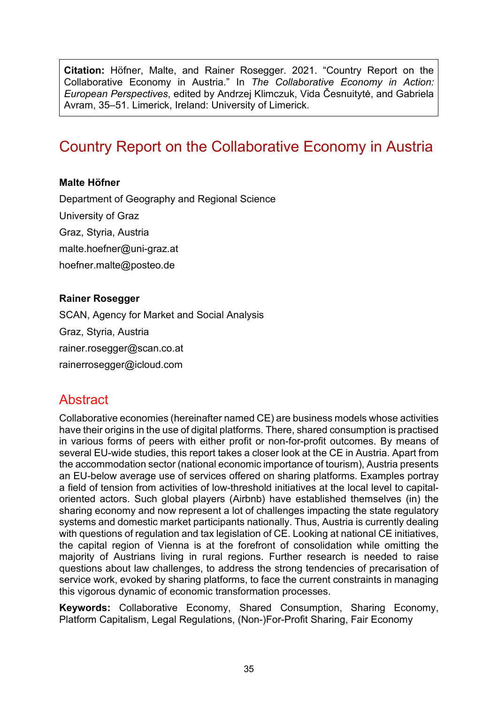**Citation:** Höfner, Malte, and Rainer Rosegger. 2021. "Country Report on the Collaborative Economy in Austria." In *The Collaborative Economy in Action: European Perspectives*, edited by Andrzej Klimczuk, Vida Česnuitytė, and Gabriela Avram, 35–51. Limerick, Ireland: University of Limerick.

# Country Report on the Collaborative Economy in Austria

#### **Malte Höfner**

Department of Geography and Regional Science University of Graz Graz, Styria, Austria [malte.hoefner@uni-graz.at](mailto:malte.hoefner@uni-graz.at) [hoefner.malte@posteo.de](mailto:hoefner.malte@posteo.de)

#### **Rainer Rosegger**

SCAN, Agency for Market and Social Analysis Graz, Styria, Austria [rainer.rosegger@scan.co.at](mailto:rainer.rosegger@scan.co.at) [rainerrosegger@icloud.com](mailto:rainerrosegger@icloud.com)

### **Abstract**

Collaborative economies (hereinafter named CE) are business models whose activities have their origins in the use of digital platforms. There, shared consumption is practised in various forms of peers with either profit or non-for-profit outcomes. By means of several EU-wide studies, this report takes a closer look at the CE in Austria. Apart from the accommodation sector (national economic importance of tourism), Austria presents an EU-below average use of services offered on sharing platforms. Examples portray a field of tension from activities of low-threshold initiatives at the local level to capitaloriented actors. Such global players (Airbnb) have established themselves (in) the sharing economy and now represent a lot of challenges impacting the state regulatory systems and domestic market participants nationally. Thus, Austria is currently dealing with questions of regulation and tax legislation of CE. Looking at national CE initiatives, the capital region of Vienna is at the forefront of consolidation while omitting the majority of Austrians living in rural regions. Further research is needed to raise questions about law challenges, to address the strong tendencies of precarisation of service work, evoked by sharing platforms, to face the current constraints in managing this vigorous dynamic of economic transformation processes.

**Keywords:** Collaborative Economy, Shared Consumption, Sharing Economy, Platform Capitalism, Legal Regulations, (Non-)For-Profit Sharing, Fair Economy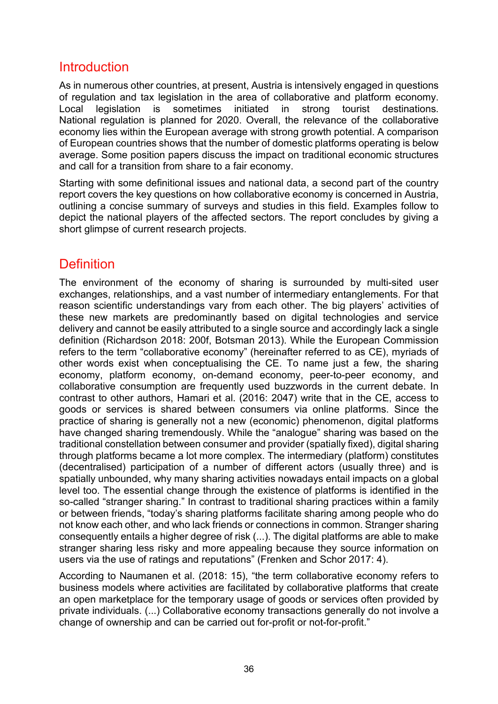### Introduction

As in numerous other countries, at present, Austria is intensively engaged in questions of regulation and tax legislation in the area of collaborative and platform economy. Local legislation is sometimes initiated in strong tourist destinations. National regulation is planned for 2020. Overall, the relevance of the collaborative economy lies within the European average with strong growth potential. A comparison of European countries shows that the number of domestic platforms operating is below average. Some position papers discuss the impact on traditional economic structures and call for a transition from share to a fair economy.

Starting with some definitional issues and national data, a second part of the country report covers the key questions on how collaborative economy is concerned in Austria, outlining a concise summary of surveys and studies in this field. Examples follow to depict the national players of the affected sectors. The report concludes by giving a short glimpse of current research projects.

### **Definition**

The environment of the economy of sharing is surrounded by multi-sited user exchanges, relationships, and a vast number of intermediary entanglements. For that reason scientific understandings vary from each other. The big players' activities of these new markets are predominantly based on digital technologies and service delivery and cannot be easily attributed to a single source and accordingly lack a single definition (Richardson 2018: 200f, Botsman 2013). While the European Commission refers to the term "collaborative economy" (hereinafter referred to as CE), myriads of other words exist when conceptualising the CE. To name just a few, the sharing economy, platform economy, on-demand economy, peer-to-peer economy, and collaborative consumption are frequently used buzzwords in the current debate. In contrast to other authors, Hamari et al. (2016: 2047) write that in the CE, access to goods or services is shared between consumers via online platforms. Since the practice of sharing is generally not a new (economic) phenomenon, digital platforms have changed sharing tremendously. While the "analogue" sharing was based on the traditional constellation between consumer and provider (spatially fixed), digital sharing through platforms became a lot more complex. The intermediary (platform) constitutes (decentralised) participation of a number of different actors (usually three) and is spatially unbounded, why many sharing activities nowadays entail impacts on a global level too. The essential change through the existence of platforms is identified in the so-called "stranger sharing." In contrast to traditional sharing practices within a family or between friends, "today's sharing platforms facilitate sharing among people who do not know each other, and who lack friends or connections in common. Stranger sharing consequently entails a higher degree of risk (...). The digital platforms are able to make stranger sharing less risky and more appealing because they source information on users via the use of ratings and reputations" (Frenken and Schor 2017: 4).

According to Naumanen et al. (2018: 15), "the term collaborative economy refers to business models where activities are facilitated by collaborative platforms that create an open marketplace for the temporary usage of goods or services often provided by private individuals. (...) Collaborative economy transactions generally do not involve a change of ownership and can be carried out for-profit or not-for-profit."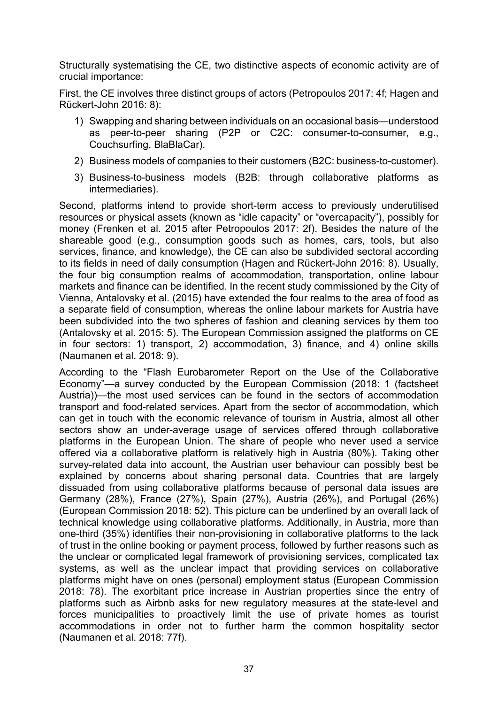Structurally systematising the CE, two distinctive aspects of economic activity are of crucial importance:

First, the CE involves three distinct groups of actors (Petropoulos 2017: 4f; Hagen and Rückert-John 2016: 8):

- 1) Swapping and sharing between individuals on an occasional basis—understood as peer-to-peer sharing (P2P or C2C: consumer-to-consumer, e.g., Couchsurfing, BlaBlaCar).
- 2) Business models of companies to their customers (B2C: business-to-customer).
- 3) Business-to-business models (B2B: through collaborative platforms as intermediaries).

Second, platforms intend to provide short-term access to previously underutilised resources or physical assets (known as "idle capacity" or "overcapacity"), possibly for money (Frenken et al. 2015 after Petropoulos 2017: 2f). Besides the nature of the shareable good (e.g., consumption goods such as homes, cars, tools, but also services, finance, and knowledge), the CE can also be subdivided sectoral according to its fields in need of daily consumption (Hagen and Rückert-John 2016: 8). Usually, the four big consumption realms of accommodation, transportation, online labour markets and finance can be identified. In the recent study commissioned by the City of Vienna, Antalovsky et al. (2015) have extended the four realms to the area of food as a separate field of consumption, whereas the online labour markets for Austria have been subdivided into the two spheres of fashion and cleaning services by them too (Antalovsky et al. 2015: 5). The European Commission assigned the platforms on CE in four sectors: 1) transport, 2) accommodation, 3) finance, and 4) online skills (Naumanen et al. 2018: 9).

According to the "Flash Eurobarometer Report on the Use of the Collaborative Economy"—a survey conducted by the European Commission (2018: 1 (factsheet Austria))—the most used services can be found in the sectors of accommodation transport and food-related services. Apart from the sector of accommodation, which can get in touch with the economic relevance of tourism in Austria, almost all other sectors show an under-average usage of services offered through collaborative platforms in the European Union. The share of people who never used a service offered via a collaborative platform is relatively high in Austria (80%). Taking other survey-related data into account, the Austrian user behaviour can possibly best be explained by concerns about sharing personal data. Countries that are largely dissuaded from using collaborative platforms because of personal data issues are Germany (28%), France (27%), Spain (27%), Austria (26%), and Portugal (26%) (European Commission 2018: 52). This picture can be underlined by an overall lack of technical knowledge using collaborative platforms. Additionally, in Austria, more than one-third (35%) identifies their non-provisioning in collaborative platforms to the lack of trust in the online booking or payment process, followed by further reasons such as the unclear or complicated legal framework of provisioning services, complicated tax systems, as well as the unclear impact that providing services on collaborative platforms might have on ones (personal) employment status (European Commission 2018: 78). The exorbitant price increase in Austrian properties since the entry of platforms such as Airbnb asks for new regulatory measures at the state-level and forces municipalities to proactively limit the use of private homes as tourist accommodations in order not to further harm the common hospitality sector (Naumanen et al. 2018: 77f).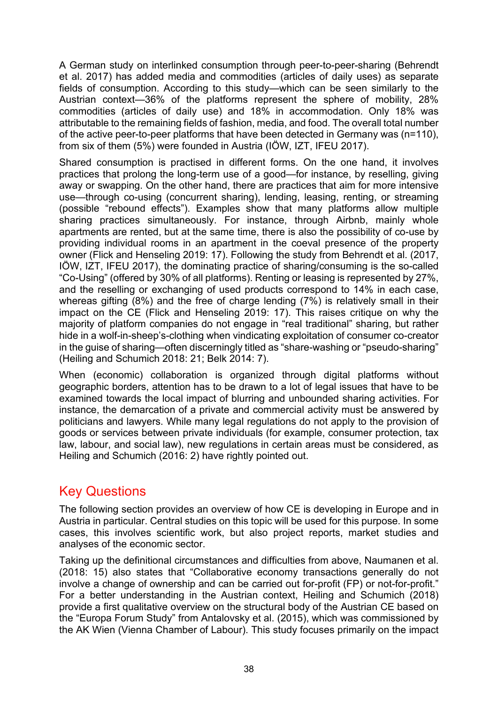A German study on interlinked consumption through peer-to-peer-sharing (Behrendt et al. 2017) has added media and commodities (articles of daily uses) as separate fields of consumption. According to this study—which can be seen similarly to the Austrian context—36% of the platforms represent the sphere of mobility, 28% commodities (articles of daily use) and 18% in accommodation. Only 18% was attributable to the remaining fields of fashion, media, and food. The overall total number of the active peer-to-peer platforms that have been detected in Germany was (n=110), from six of them (5%) were founded in Austria ([IÖW, IZT, IFEU](https://www.peer-sharing.de/veroeffentlichungen/landkarte-peer-to-peer-sharing.html) 2017).

Shared consumption is practised in different forms. On the one hand, it involves practices that prolong the long-term use of a good—for instance, by reselling, giving away or swapping. On the other hand, there are practices that aim for more intensive use—through co-using (concurrent sharing), lending, leasing, renting, or streaming (possible "rebound effects"). Examples show that many platforms allow multiple sharing practices simultaneously. For instance, through Airbnb, mainly whole apartments are rented, but at the same time, there is also the possibility of co-use by providing individual rooms in an apartment in the coeval presence of the property owner (Flick and Henseling 2019: 17). Following the study from Behrendt et al. (2017, [IÖW, IZT, IFEU](https://www.peer-sharing.de/veroeffentlichungen/landkarte-peer-to-peer-sharing.html) 2017), the dominating practice of sharing/consuming is the so-called "Co-Using" (offered by 30% of all platforms). Renting or leasing is represented by 27%, and the reselling or exchanging of used products correspond to 14% in each case, whereas gifting (8%) and the free of charge lending (7%) is relatively small in their impact on the CE (Flick and Henseling 2019: 17). This raises critique on why the majority of platform companies do not engage in "real traditional" sharing, but rather hide in a wolf-in-sheep's-clothing when vindicating exploitation of consumer co-creator in the guise of sharing—often discerningly titled as "share-washing or "pseudo-sharing" (Heiling and Schumich 2018: 21; Belk 2014: 7).

When (economic) collaboration is organized through digital platforms without geographic borders, attention has to be drawn to a lot of legal issues that have to be examined towards the local impact of blurring and unbounded sharing activities. For instance, the demarcation of a private and commercial activity must be answered by politicians and lawyers. While many legal regulations do not apply to the provision of goods or services between private individuals (for example, consumer protection, tax law, labour, and social law), new regulations in certain areas must be considered, as Heiling and Schumich (2016: 2) have rightly pointed out.

### Key Questions

The following section provides an overview of how CE is developing in Europe and in Austria in particular. Central studies on this topic will be used for this purpose. In some cases, this involves scientific work, but also project reports, market studies and analyses of the economic sector.

Taking up the definitional circumstances and difficulties from above, Naumanen et al. (2018: 15) also states that "Collaborative economy transactions generally do not involve a change of ownership and can be carried out for-profit (FP) or not-for-profit." For a better understanding in the Austrian context, Heiling and Schumich (2018) provide a first qualitative overview on the structural body of the Austrian CE based on the "Europa Forum Study" from Antalovsky et al. (2015), which was commissioned by the AK Wien (Vienna Chamber of Labour). This study focuses primarily on the impact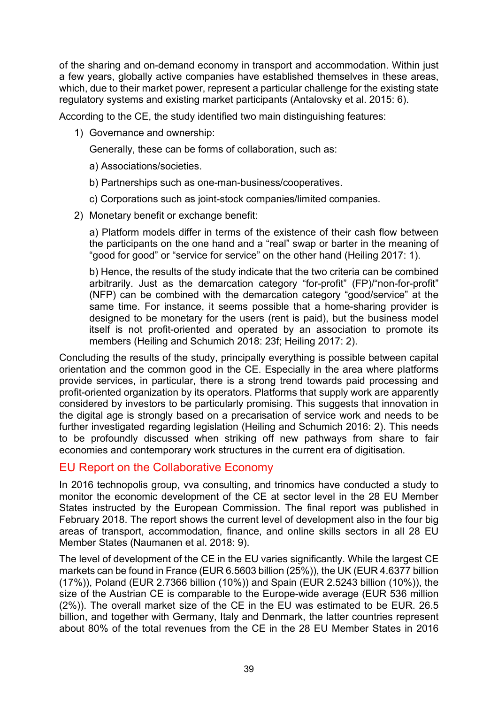of the sharing and on-demand economy in transport and accommodation. Within just a few years, globally active companies have established themselves in these areas, which, due to their market power, represent a particular challenge for the existing state regulatory systems and existing market participants (Antalovsky et al. 2015: 6).

According to the CE, the study identified two main distinguishing features:

1) Governance and ownership:

Generally, these can be forms of collaboration, such as:

a) Associations/societies.

- b) Partnerships such as one-man-business/cooperatives.
- c) Corporations such as joint-stock companies/limited companies.
- 2) Monetary benefit or exchange benefit:

a) Platform models differ in terms of the existence of their cash flow between the participants on the one hand and a "real" swap or barter in the meaning of "good for good" or "service for service" on the other hand (Heiling 2017: 1).

b) Hence, the results of the study indicate that the two criteria can be combined arbitrarily. Just as the demarcation category "for-profit" (FP)/"non-for-profit" (NFP) can be combined with the demarcation category "good/service" at the same time. For instance, it seems possible that a home-sharing provider is designed to be monetary for the users (rent is paid), but the business model itself is not profit-oriented and operated by an association to promote its members (Heiling and Schumich 2018: 23f; Heiling 2017: 2).

Concluding the results of the study, principally everything is possible between capital orientation and the common good in the CE. Especially in the area where platforms provide services, in particular, there is a strong trend towards paid processing and profit-oriented organization by its operators. Platforms that supply work are apparently considered by investors to be particularly promising. This suggests that innovation in the digital age is strongly based on a precarisation of service work and needs to be further investigated regarding legislation (Heiling and Schumich 2016: 2). This needs to be profoundly discussed when striking off new pathways from share to fair economies and contemporary work structures in the current era of digitisation.

#### EU Report on the Collaborative Economy

In 2016 technopolis group, vva consulting, and trinomics have conducted a study to monitor the economic development of the CE at sector level in the 28 EU Member States instructed by the European Commission. The final report was published in February 2018. The report shows the current level of development also in the four big areas of transport, accommodation, finance, and online skills sectors in all 28 EU Member States (Naumanen et al. 2018: 9).

The level of development of the CE in the EU varies significantly. While the largest CE markets can be found in France (EUR 6.5603 billion (25%)), the UK (EUR 4.6377 billion (17%)), Poland (EUR 2.7366 billion (10%)) and Spain (EUR 2.5243 billion (10%)), the size of the Austrian CE is comparable to the Europe-wide average (EUR 536 million (2%)). The overall market size of the CE in the EU was estimated to be EUR. 26.5 billion, and together with Germany, Italy and Denmark, the latter countries represent about 80% of the total revenues from the CE in the 28 EU Member States in 2016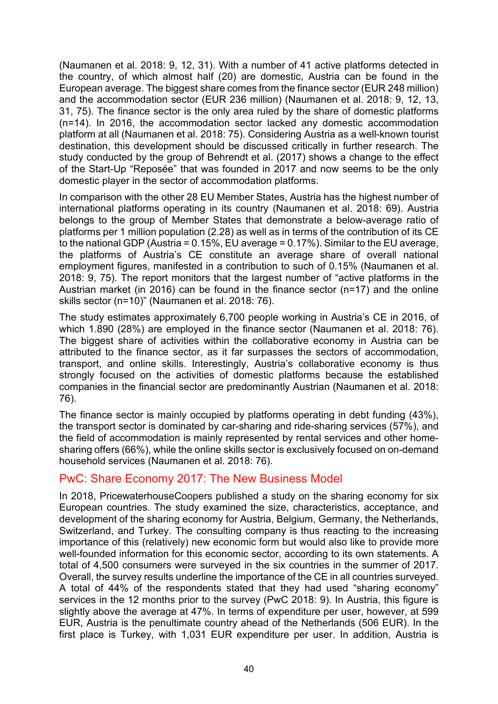(Naumanen et al. 2018: 9, 12, 31). With a number of 41 active platforms detected in the country, of which almost half (20) are domestic, Austria can be found in the European average. The biggest share comes from the finance sector (EUR 248 million) and the accommodation sector (EUR 236 million) (Naumanen et al. 2018: 9, 12, 13, 31, 75). The finance sector is the only area ruled by the share of domestic platforms (n=14). In 2016, the accommodation sector lacked any domestic accommodation platform at all (Naumanen et al. 2018: 75). Considering Austria as a well-known tourist destination, this development should be discussed critically in further research. The study conducted by the group of Behrendt et al. (2017) shows a change to the effect of the Start-Up "Reposée" that was founded in 2017 and now seems to be the only domestic player in the sector of accommodation platforms.

In comparison with the other 28 EU Member States, Austria has the highest number of international platforms operating in its country (Naumanen et al. 2018: 69). Austria belongs to the group of Member States that demonstrate a below-average ratio of platforms per 1 million population (2.28) as well as in terms of the contribution of its CE to the national GDP (Austria = 0.15%, EU average = 0.17%). Similar to the EU average, the platforms of Austria's CE constitute an average share of overall national employment figures, manifested in a contribution to such of 0.15% (Naumanen et al. 2018: 9, 75). The report monitors that the largest number of "active platforms in the Austrian market (in 2016) can be found in the finance sector (n=17) and the online skills sector (n=10)" (Naumanen et al. 2018: 76).

The study estimates approximately 6,700 people working in Austria's CE in 2016, of which 1.890 (28%) are employed in the finance sector (Naumanen et al. 2018: 76). The biggest share of activities within the collaborative economy in Austria can be attributed to the finance sector, as it far surpasses the sectors of accommodation, transport, and online skills. Interestingly, Austria's collaborative economy is thus strongly focused on the activities of domestic platforms because the established companies in the financial sector are predominantly Austrian (Naumanen et al. 2018: 76).

The finance sector is mainly occupied by platforms operating in debt funding (43%), the transport sector is dominated by car-sharing and ride-sharing services (57%), and the field of accommodation is mainly represented by rental services and other homesharing offers (66%), while the online skills sector is exclusively focused on on-demand household services (Naumanen et al. 2018: 76).

#### PwC: Share Economy 2017: The New Business Model

In 2018, PricewaterhouseCoopers published a study on the sharing economy for six European countries. The study examined the size, characteristics, acceptance, and development of the sharing economy for Austria, Belgium, Germany, the Netherlands, Switzerland, and Turkey. The consulting company is thus reacting to the increasing importance of this (relatively) new economic form but would also like to provide more well-founded information for this economic sector, according to its own statements. A total of 4,500 consumers were surveyed in the six countries in the summer of 2017. Overall, the survey results underline the importance of the CE in all countries surveyed. A total of 44% of the respondents stated that they had used "sharing economy" services in the 12 months prior to the survey (PwC 2018: 9). In Austria, this figure is slightly above the average at 47%. In terms of expenditure per user, however, at 599 EUR, Austria is the penultimate country ahead of the Netherlands (506 EUR). In the first place is Turkey, with 1,031 EUR expenditure per user. In addition, Austria is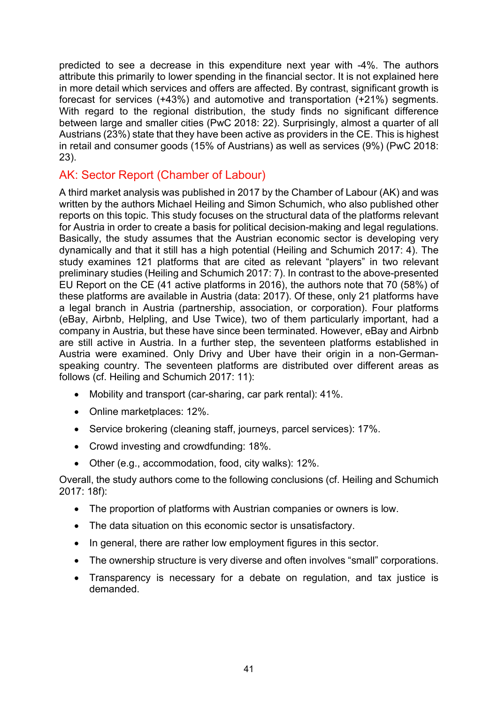predicted to see a decrease in this expenditure next year with -4%. The authors attribute this primarily to lower spending in the financial sector. It is not explained here in more detail which services and offers are affected. By contrast, significant growth is forecast for services (+43%) and automotive and transportation (+21%) segments. With regard to the regional distribution, the study finds no significant difference between large and smaller cities (PwC 2018: 22). Surprisingly, almost a quarter of all Austrians (23%) state that they have been active as providers in the CE. This is highest in retail and consumer goods (15% of Austrians) as well as services (9%) (PwC 2018: 23).

#### AK: Sector Report (Chamber of Labour)

A third market analysis was published in 2017 by the Chamber of Labour (AK) and was written by the authors Michael Heiling and Simon Schumich, who also published other reports on this topic. This study focuses on the structural data of the platforms relevant for Austria in order to create a basis for political decision-making and legal regulations. Basically, the study assumes that the Austrian economic sector is developing very dynamically and that it still has a high potential (Heiling and Schumich 2017: 4). The study examines 121 platforms that are cited as relevant "players" in two relevant preliminary studies (Heiling and Schumich 2017: 7). In contrast to the above-presented EU Report on the CE (41 active platforms in 2016), the authors note that 70 (58%) of these platforms are available in Austria (data: 2017). Of these, only 21 platforms have a legal branch in Austria (partnership, association, or corporation). Four platforms (eBay, Airbnb, Helpling, and Use Twice), two of them particularly important, had a company in Austria, but these have since been terminated. However, eBay and Airbnb are still active in Austria. In a further step, the seventeen platforms established in Austria were examined. Only Drivy and Uber have their origin in a non-Germanspeaking country. The seventeen platforms are distributed over different areas as follows (cf. Heiling and Schumich 2017: 11):

- Mobility and transport (car-sharing, car park rental): 41%.
- Online marketplaces: 12%.
- Service brokering (cleaning staff, journeys, parcel services): 17%.
- Crowd investing and crowdfunding: 18%.
- Other (e.g., accommodation, food, city walks): 12%.

Overall, the study authors come to the following conclusions (cf. Heiling and Schumich 2017: 18f):

- The proportion of platforms with Austrian companies or owners is low.
- The data situation on this economic sector is unsatisfactory.
- In general, there are rather low employment figures in this sector.
- The ownership structure is very diverse and often involves "small" corporations.
- Transparency is necessary for a debate on regulation, and tax justice is demanded.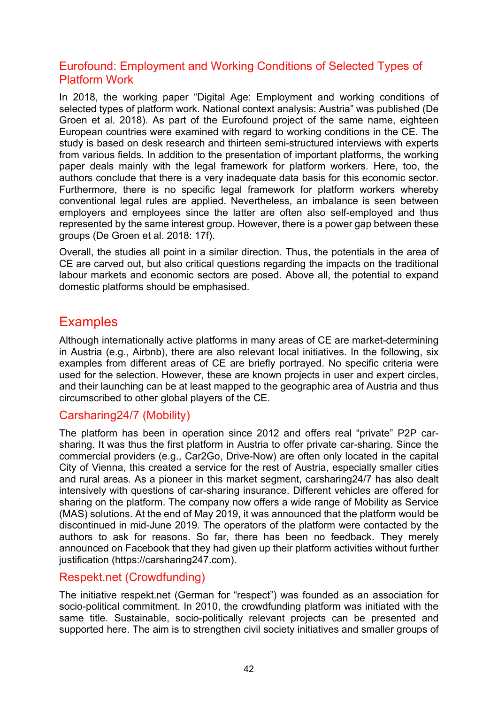#### Eurofound: Employment and Working Conditions of Selected Types of Platform Work

In 2018, the working paper "Digital Age: Employment and working conditions of selected types of platform work. National context analysis: Austria" was published (De Groen et al. 2018). As part of the Eurofound project of the same name, eighteen European countries were examined with regard to working conditions in the CE. The study is based on desk research and thirteen semi-structured interviews with experts from various fields. In addition to the presentation of important platforms, the working paper deals mainly with the legal framework for platform workers. Here, too, the authors conclude that there is a very inadequate data basis for this economic sector. Furthermore, there is no specific legal framework for platform workers whereby conventional legal rules are applied. Nevertheless, an imbalance is seen between employers and employees since the latter are often also self-employed and thus represented by the same interest group. However, there is a power gap between these groups (De Groen et al. 2018: 17f).

Overall, the studies all point in a similar direction. Thus, the potentials in the area of CE are carved out, but also critical questions regarding the impacts on the traditional labour markets and economic sectors are posed. Above all, the potential to expand domestic platforms should be emphasised.

### **Examples**

Although internationally active platforms in many areas of CE are market-determining in Austria (e.g., Airbnb), there are also relevant local initiatives. In the following, six examples from different areas of CE are briefly portrayed. No specific criteria were used for the selection. However, these are known projects in user and expert circles, and their launching can be at least mapped to the geographic area of Austria and thus circumscribed to other global players of the CE.

#### Carsharing24/7 (Mobility)

The platform has been in operation since 2012 and offers real "private" P2P carsharing. It was thus the first platform in Austria to offer private car-sharing. Since the commercial providers (e.g., Car2Go, Drive-Now) are often only located in the capital City of Vienna, this created a service for the rest of Austria, especially smaller cities and rural areas. As a pioneer in this market segment, carsharing24/7 has also dealt intensively with questions of car-sharing insurance. Different vehicles are offered for sharing on the platform. The company now offers a wide range of Mobility as Service (MAS) solutions. At the end of May 2019, it was announced that the platform would be discontinued in mid-June 2019. The operators of the platform were contacted by the authors to ask for reasons. So far, there has been no feedback. They merely announced on Facebook that they had given up their platform activities without further justification [\(https://carsharing247.com\)](https://carsharing247.com/).

#### Respekt.net (Crowdfunding)

The initiative respekt.net (German for "respect") was founded as an association for socio-political commitment. In 2010, the crowdfunding platform was initiated with the same title. Sustainable, socio-politically relevant projects can be presented and supported here. The aim is to strengthen civil society initiatives and smaller groups of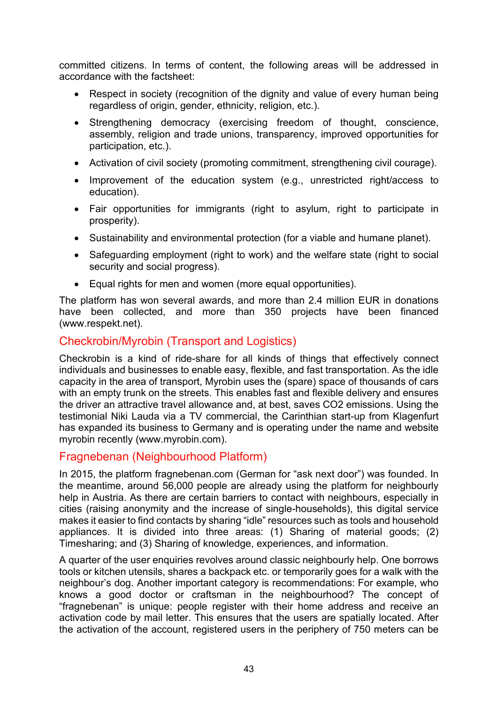committed citizens. In terms of content, the following areas will be addressed in accordance with the factsheet:

- Respect in society (recognition of the dignity and value of every human being regardless of origin, gender, ethnicity, religion, etc.).
- Strengthening democracy (exercising freedom of thought, conscience, assembly, religion and trade unions, transparency, improved opportunities for participation, etc.).
- Activation of civil society (promoting commitment, strengthening civil courage).
- Improvement of the education system (e.g., unrestricted right/access to education).
- Fair opportunities for immigrants (right to asylum, right to participate in prosperity).
- Sustainability and environmental protection (for a viable and humane planet).
- Safeguarding employment (right to work) and the welfare state (right to social security and social progress).
- Equal rights for men and women (more equal opportunities).

The platform has won several awards, and more than 2.4 million EUR in donations have been collected, and more than 350 projects have been financed [\(www.respekt.net\)](http://www.respekt.net/).

#### Checkrobin/Myrobin (Transport and Logistics)

Checkrobin is a kind of ride-share for all kinds of things that effectively connect individuals and businesses to enable easy, flexible, and fast transportation. As the idle capacity in the area of transport, Myrobin uses the (spare) space of thousands of cars with an empty trunk on the streets. This enables fast and flexible delivery and ensures the driver an attractive travel allowance and, at best, saves CO2 emissions. Using the testimonial Niki Lauda via a TV commercial, the Carinthian start-up from Klagenfurt has expanded its business to Germany and is operating under the name and website myrobin recently (www[.myrobin.com](https://www.myrobin.com/)).

#### Fragnebenan (Neighbourhood Platform)

In 2015, the platform fragnebenan.com (German for "ask next door") was founded. In the meantime, around 56,000 people are already using the platform for neighbourly help in Austria. As there are certain barriers to contact with neighbours, especially in cities (raising anonymity and the increase of single-households), this digital service makes it easier to find contacts by sharing "idle" resources such as tools and household appliances. It is divided into three areas: (1) Sharing of material goods; (2) Timesharing; and (3) Sharing of knowledge, experiences, and information.

A quarter of the user enquiries revolves around classic neighbourly help. One borrows tools or kitchen utensils, shares a backpack etc. or temporarily goes for a walk with the neighbour's dog. Another important category is recommendations: For example, who knows a good doctor or craftsman in the neighbourhood? The concept of "fragnebenan" is unique: people register with their home address and receive an activation code by mail letter. This ensures that the users are spatially located. After the activation of the account, registered users in the periphery of 750 meters can be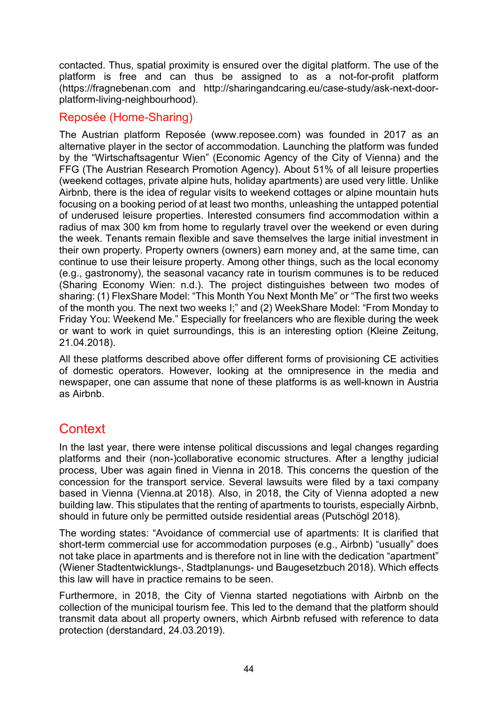contacted. Thus, spatial proximity is ensured over the digital platform. The use of the platform is free and can thus be assigned to as a not-for-profit platform ([https://fragnebenan.com](https://fragnebenan.com/) and [http://sharingandcaring.eu/case-study/ask-](http://sharingandcaring.eu/case-study/ask-next-door-platform-living-neighbourhood)next-doorplatform-living-[neighbourhood](http://sharingandcaring.eu/case-study/ask-next-door-platform-living-neighbourhood)).

#### Reposée (Home-Sharing)

The Austrian platform Reposée [\(www.reposee.com\)](https://www.reposee.com/) was founded in 2017 as an alternative player in the sector of accommodation. Launching the platform was funded by the "Wirtschaftsagentur Wien" (Economic Agency of the City of Vienna) and the FFG (The Austrian Research Promotion Agency). About 51% of all leisure properties (weekend cottages, private alpine huts, holiday apartments) are used very little. Unlike Airbnb, there is the idea of regular visits to weekend cottages or alpine mountain huts focusing on a booking period of at least two months, unleashing the untapped potential of underused leisure properties. Interested consumers find accommodation within a radius of max 300 km from home to regularly travel over the weekend or even during the week. Tenants remain flexible and save themselves the large initial investment in their own property. Property owners (owners) earn money and, at the same time, can continue to use their leisure property. Among other things, such as the local economy (e.g., gastronomy), the seasonal vacancy rate in tourism communes is to be reduced [\(Sharing Economy Wien:](https://www.sharing-economy.at/atlas/reposee-freizeitimmos-mieten-tauschen-teilen) n.d.). The project distinguishes between two modes of sharing: (1) FlexShare Model: "This Month You Next Month Me" or "The first two weeks of the month you. The next two weeks I;" and (2) WeekShare Model: "From Monday to Friday You: Weekend Me." Especially for freelancers who are flexible during the week or want to work in quiet surroundings, this is an interesting option [\(Kleine Zeitung,](https://www.kleinezeitung.at/zuhause/5406836/FERIENHAeUSER-BESSER-NUTZEN_Neues-SharingModell-fuer-Wochenendhaeuer) 21.04.2018).

All these platforms described above offer different forms of provisioning CE activities of domestic operators. However, looking at the omnipresence in the media and newspaper, one can assume that none of these platforms is as well-known in Austria as Airbnb.

# **Context**

In the last year, there were intense political discussions and legal changes regarding platforms and their (non-)collaborative economic structures. After a lengthy judicial process, Uber was again fined in Vienna in 2018. This concerns the question of the concession for the transport service. Several lawsuits were filed by a taxi company based in Vienna (Vienna.at 2018). Also, in 2018, the City of Vienna adopted a new building law. This stipulates that the renting of apartments to tourists, especially Airbnb, should in future only be permitted outside residential areas (Putschögl 2018).

The wording states: "Avoidance of commercial use of apartments: It is clarified that short-term commercial use for accommodation purposes (e.g., Airbnb) "usually" does not take place in apartments and is therefore not in line with the dedication "apartment" (Wiener Stadtentwicklungs-, Stadtplanungs- und Baugesetzbuch 2018). Which effects this law will have in practice remains to be seen.

Furthermore, in 2018, the City of Vienna started negotiations with Airbnb on the collection of the municipal tourism fee. This led to the demand that the platform should transmit data about all property owners, which Airbnb refused with reference to data protection (derstandard, 24.03.2019).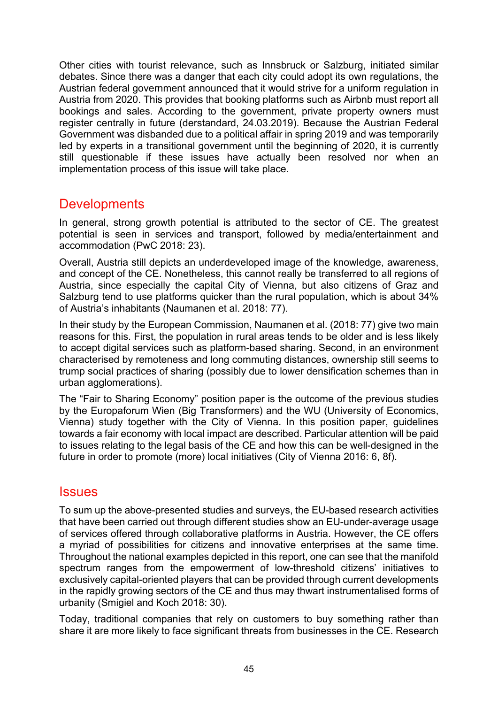Other cities with tourist relevance, such as Innsbruck or Salzburg, initiated similar debates. Since there was a danger that each city could adopt its own regulations, the Austrian federal government announced that it would strive for a uniform regulation in Austria from 2020. This provides that booking platforms such as Airbnb must report all bookings and sales. According to the government, private property owners must register centrally in future (derstandard, 24.03.2019). Because the Austrian Federal Government was disbanded due to a political affair in spring 2019 and was temporarily led by experts in a transitional government until the beginning of 2020, it is currently still questionable if these issues have actually been resolved nor when an implementation process of this issue will take place.

### **Developments**

In general, strong growth potential is attributed to the sector of CE. The greatest potential is seen in services and transport, followed by media/entertainment and accommodation (PwC 2018: 23).

Overall, Austria still depicts an underdeveloped image of the knowledge, awareness, and concept of the CE. Nonetheless, this cannot really be transferred to all regions of Austria, since especially the capital City of Vienna, but also citizens of Graz and Salzburg tend to use platforms quicker than the rural population, which is about 34% of Austria's inhabitants (Naumanen et al. 2018: 77).

In their study by the European Commission, Naumanen et al. (2018: 77) give two main reasons for this. First, the population in rural areas tends to be older and is less likely to accept digital services such as platform-based sharing. Second, in an environment characterised by remoteness and long commuting distances, ownership still seems to trump social practices of sharing (possibly due to lower densification schemes than in urban agglomerations).

The "Fair to Sharing Economy" position paper is the outcome of the previous studies by the Europaforum Wien (Big Transformers) and the WU (University of Economics, Vienna) study together with the City of Vienna. In this position paper, guidelines towards a fair economy with local impact are described. Particular attention will be paid to issues relating to the legal basis of the CE and how this can be well-designed in the future in order to promote (more) local initiatives (City of Vienna 2016: 6, 8f).

#### **Issues**

To sum up the above-presented studies and surveys, the EU-based research activities that have been carried out through different studies show an EU-under-average usage of services offered through collaborative platforms in Austria. However, the CE offers a myriad of possibilities for citizens and innovative enterprises at the same time. Throughout the national examples depicted in this report, one can see that the manifold spectrum ranges from the empowerment of low-threshold citizens' initiatives to exclusively capital-oriented players that can be provided through current developments in the rapidly growing sectors of the CE and thus may thwart instrumentalised forms of urbanity (Smigiel and Koch 2018: 30).

Today, traditional companies that rely on customers to buy something rather than share it are more likely to face significant threats from businesses in the CE. Research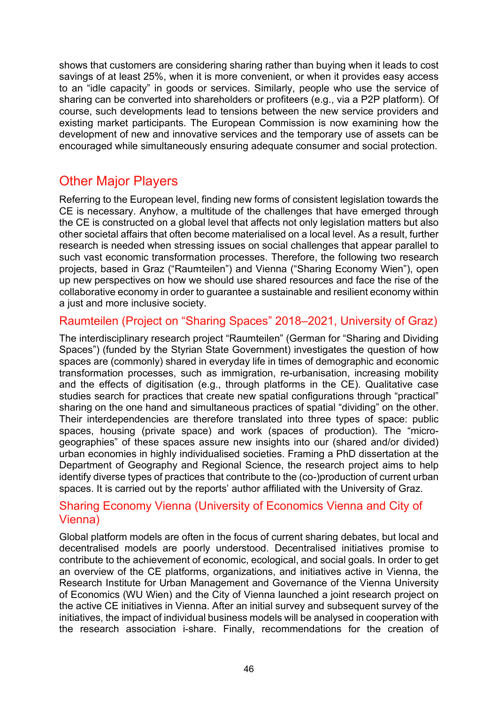shows that customers are considering sharing rather than buying when it leads to cost savings of at least 25%, when it is more convenient, or when it provides easy access to an "idle capacity" in goods or services. Similarly, people who use the service of sharing can be converted into shareholders or profiteers (e.g., via a P2P platform). Of course, such developments lead to tensions between the new service providers and existing market participants. The European Commission is now examining how the development of new and innovative services and the temporary use of assets can be encouraged while simultaneously ensuring adequate consumer and social protection.

# Other Major Players

Referring to the European level, finding new forms of consistent legislation towards the CE is necessary. Anyhow, a multitude of the challenges that have emerged through the CE is constructed on a global level that affects not only legislation matters but also other societal affairs that often become materialised on a local level. As a result, further research is needed when stressing issues on social challenges that appear parallel to such vast economic transformation processes. Therefore, the following two research projects, based in Graz ("Raumteilen") and Vienna ("Sharing Economy Wien"), open up new perspectives on how we should use shared resources and face the rise of the collaborative economy in order to guarantee a sustainable and resilient economy within a just and more inclusive society.

#### Raumteilen (Project on "Sharing Spaces" 2018–2021, University of Graz)

The interdisciplinary research project "Raumteilen" (German for "Sharing and Dividing Spaces") (funded by the Styrian State Government) investigates the question of how spaces are (commonly) shared in everyday life in times of demographic and economic transformation processes, such as immigration, re-urbanisation, increasing mobility and the effects of digitisation (e.g., through platforms in the CE). Qualitative case studies search for practices that create new spatial configurations through "practical" sharing on the one hand and simultaneous practices of spatial "dividing" on the other. Their interdependencies are therefore translated into three types of space: public spaces, housing (private space) and work (spaces of production). The "microgeographies" of these spaces assure new insights into our (shared and/or divided) urban economies in highly individualised societies. Framing a PhD dissertation at the Department of Geography and Regional Science, the research project aims to help identify diverse types of practices that contribute to the (co-)production of current urban spaces. It is carried out by the reports' author affiliated with the University of Graz.

#### Sharing Economy Vienna (University of Economics Vienna and City of Vienna)

Global platform models are often in the focus of current sharing debates, but local and decentralised models are poorly understood. Decentralised initiatives promise to contribute to the achievement of economic, ecological, and social goals. In order to get an overview of the CE platforms, organizations, and initiatives active in Vienna, the Research Institute for Urban Management and Governance of the Vienna University of Economics (WU Wien) and the City of Vienna launched a joint research project on the active CE initiatives in Vienna. After an initial survey and subsequent survey of the initiatives, the impact of individual business models will be analysed in cooperation with the research association [i-share.](https://www.sharing-economy.at/) Finally, recommendations for the creation of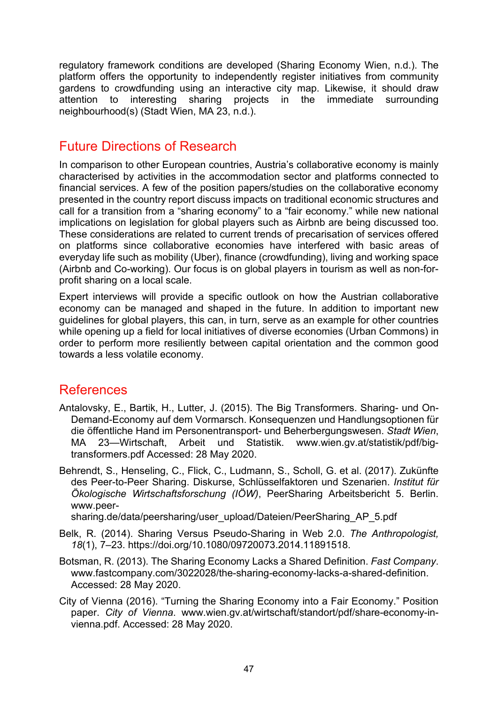regulatory framework conditions are developed [\(Sharing Economy Wien,](https://www.sharing-economy.at/projekt) n.d.). The platform offers the opportunity to independently register initiatives from community gardens to crowdfunding using an interactive city map. Likewise, it should draw<br>attention to interesting sharing projects in the immediate surrounding attention to interesting sharing projects in the immediate surrounding neighbourhood(s) [\(Stadt Wien,](https://www.wien.gv.at/wirtschaft/standort/share-economy/index.html) MA 23, n.d.).

### Future Directions of Research

In comparison to other European countries, Austria's collaborative economy is mainly characterised by activities in the accommodation sector and platforms connected to financial services. A few of the position papers/studies on the collaborative economy presented in the country report discuss impacts on traditional economic structures and call for a transition from a "sharing economy" to a "fair economy." while new national implications on legislation for global players such as Airbnb are being discussed too. These considerations are related to current trends of precarisation of services offered on platforms since collaborative economies have interfered with basic areas of everyday life such as mobility (Uber), finance (crowdfunding), living and working space (Airbnb and Co-working). Our focus is on global players in tourism as well as non-forprofit sharing on a local scale.

Expert interviews will provide a specific outlook on how the Austrian collaborative economy can be managed and shaped in the future. In addition to important new guidelines for global players, this can, in turn, serve as an example for other countries while opening up a field for local initiatives of diverse economies (Urban Commons) in order to perform more resiliently between capital orientation and the common good towards a less volatile economy.

### **References**

- Antalovsky, E., Bartik, H., Lutter, J. (2015). The Big Transformers. Sharing- und On-Demand-Economy auf dem Vormarsch. Konsequenzen und Handlungsoptionen für die öffentliche Hand im Personentransport- und Beherbergungswesen. *Stadt Wien*, MA 23—Wirtschaft, Arbeit und Statistik. [www.wien.gv.at/statistik/pdf/big](https://www.wien.gv.at/statistik/pdf/big-transformers.pdf)[transformers.pdf](https://www.wien.gv.at/statistik/pdf/big-transformers.pdf) Accessed: 28 May 2020.
- Behrendt, S., Henseling, C., Flick, C., Ludmann, S., Scholl, G. et al. (2017). Zukünfte des Peer-to-Peer Sharing. Diskurse, Schlüsselfaktoren und Szenarien. *Institut für Ökologische Wirtschaftsforschung (IÖW)*, PeerSharing Arbeitsbericht 5. Berlin. [www.peer-](https://www.peer-sharing.de/data/peersharing/user_upload/Dateien/PeerSharing_AP_5.pdf)

[sharing.de/data/peersharing/user\\_upload/Dateien/PeerSharing\\_AP\\_5.pdf](https://www.peer-sharing.de/data/peersharing/user_upload/Dateien/PeerSharing_AP_5.pdf)

- Belk, R. (2014). Sharing Versus Pseudo-Sharing in Web 2.0. *The Anthropologist, 18*(1), 7–23. [https://doi.org/10.1080/09720073.2014.11891518.](https://doi.org/10.1080/09720073.2014.11891518)
- Botsman, R. (2013). The Sharing Economy Lacks a Shared Definition. *Fast Company*[.](https://www.fastcompany.com/3022028/the-sharing-economy-lacks-a-shared-definition) [www.fastcompany.com/3022028/the-sharing-economy-lacks-a-shared-definition.](https://www.fastcompany.com/3022028/the-sharing-economy-lacks-a-shared-definition) Accessed: 28 May 2020.
- City of Vienna (2016). "Turning the Sharing Economy into a Fair Economy." Position paper. *City of Vienna*. [www.wien.gv.at/wirtschaft/standort/pdf/share-economy-in](https://www.wien.gv.at/wirtschaft/standort/pdf/share-economy-in-vienna.pdf)[vienna.pd](https://www.wien.gv.at/wirtschaft/standort/pdf/share-economy-in-vienna.pdf)f. Accessed: 28 May 2020.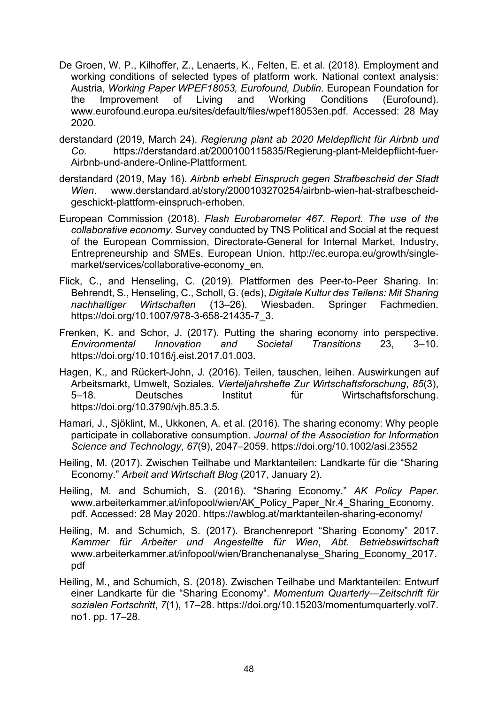- De Groen, W. P., Kilhoffer, Z., Lenaerts, K., Felten, E. et al. (2018). Employment and working conditions of selected types of platform work. National context analysis: Austria, *Working Paper WPEF18053, Eurofound, Dublin*. European Foundation for the Improvement of Living and Working Conditions (Eurofound). [www.eurofound.europa.eu/sites/default/files/wpef18053en.pdf.](https://www.eurofound.europa.eu/sites/default/files/wpef18053en.pdf) Accessed: 28 May 2020.
- derstandard (2019, March 24). *Regierung plant ab 2020 Meldepflicht für Airbnb und Co*. [https://derstandard.at/2000100115835/Regierung-plant-Meldepflicht-fuer-](https://derstandard.at/2000100115835/Regierung-plant-Meldepflicht-fuer-Airbnb-und-andere-Online-Plattforment)Airbnb-und-andere-Online[-Plattforment.](https://derstandard.at/2000100115835/Regierung-plant-Meldepflicht-fuer-Airbnb-und-andere-Online-Plattforment)
- derstandard (2019, May 16). *Airbnb erhebt Einspruch gegen Strafbescheid der Stadt Wien*. [www.derstandard.at/story/2000103270254/airbnb](https://www.derstandard.at/story/2000103270254/airbnb-wien-hat-strafbescheid-geschickt-plattform-einspruch-erhoben)-wien-hat-strafbescheid[geschickt-plattform-einspruch-](https://www.derstandard.at/story/2000103270254/airbnb-wien-hat-strafbescheid-geschickt-plattform-einspruch-erhoben)erhoben*.*
- European Commission (2018). *Flash Eurobarometer 467. Report. The use of the collaborative economy*. Survey conducted by TNS Political and Social at the request of the European Commission, Directorate-General for Internal Market, Industry, Entrepreneurship and SMEs. European Union. [http://ec.europa.eu/growth/single](http://ec.europa.eu/growth/single-market/services/collaborative-economy_en)[market/services/collaborative](http://ec.europa.eu/growth/single-market/services/collaborative-economy_en)-economy en.
- Flick, C., and Henseling, C. (2019). Plattformen des Peer-to-Peer Sharing. In: Behrendt, S., Henseling, C., Scholl, G. (eds), *Digitale Kultur des Teilens: Mit Sharing nachhaltiger Wirtschaften* (13–26). Wiesbaden. Springer Fachmedien. [https://doi.org/10.1007/978-3-658-21435-7\\_3.](https://doi.org/10.1007/978-3-658-21435-7_3)
- Frenken, K. and Schor, J. (2017). Putting the sharing economy into perspective. *Environmental Innovation and Societal Transitions* 23, 3–10. [https://doi.org/10.1016/j.eist.2017.01.003.](https://doi.org/10.1016/j.eist.2017.01.003)
- Hagen, K., and Rückert-John, J. (2016). Teilen, tauschen, leihen. Auswirkungen auf Arbeitsmarkt, Umwelt, Soziales. *Vierteljahrshefte Zur Wirtschaftsforschung*, *85*(3), 5–18. Deutsches Institut für Wirtschaftsforschung[.](https://doi.org/10.3790/vjh.85.3.5) [https://doi.org/10.3790/vjh.85.3.5.](https://doi.org/10.3790/vjh.85.3.5)
- Hamari, J., Sjöklint, M., Ukkonen, A. et al. (2016). The sharing economy: Why people participate in collaborative consumption. *Journal of the Association for Information Science and Technology*, *67*(9), 2047–2059. <https://doi.org/10.1002/asi.23552>
- Heiling, M. (2017). Zwischen Teilhabe und Marktanteilen: Landkarte für die "Sharing Economy." *Arbeit and Wirtschaft Blog* (2017, January 2).
- Heiling, M. and Schumich, S. (2016). "Sharing Economy." *AK Policy Paper*. [www.arbeiterkammer.at/infopool/wien/AK\\_Policy\\_Paper\\_Nr.4\\_Sharing\\_Economy.](https://www.arbeiterkammer.at/infopool/wien/AK_Policy_Paper_Nr.4_Sharing_Economy.pdf) [pdf.](https://www.arbeiterkammer.at/infopool/wien/AK_Policy_Paper_Nr.4_Sharing_Economy.pdf) Accessed: 28 May 2020. [https://awblog.at/marktant](https://awblog.at/marktanteilen-sharing-economy/)eilen-sharing-economy/
- Heiling, M. and Schumich, S. (2017). Branchenreport "Sharing Economy" 2017. *Kammer für Arbeiter und Angestellte für Wien*, *Abt. Betriebswirtschaft*  [www.arbeiterkammer.at/infopool/wien/Branchenanalyse\\_Sharing\\_Economy\\_2017.](https://www.arbeiterkammer.at/infopool/wien/Branchenanalyse_Sharing_Economy_2017.pdf) [pdf](https://www.arbeiterkammer.at/infopool/wien/Branchenanalyse_Sharing_Economy_2017.pdf)
- Heiling, M., and Schumich, S. (2018). Zwischen Teilhabe und Marktanteilen: Entwurf einer Landkarte für die "Sharing Economy". *Momentum Quarterly—Zeitschrift für sozialen Fortschritt*, *7*(1), 17–28. https://doi.org/10.15203/momentumquarterly.vol7. no1. pp. 17–28.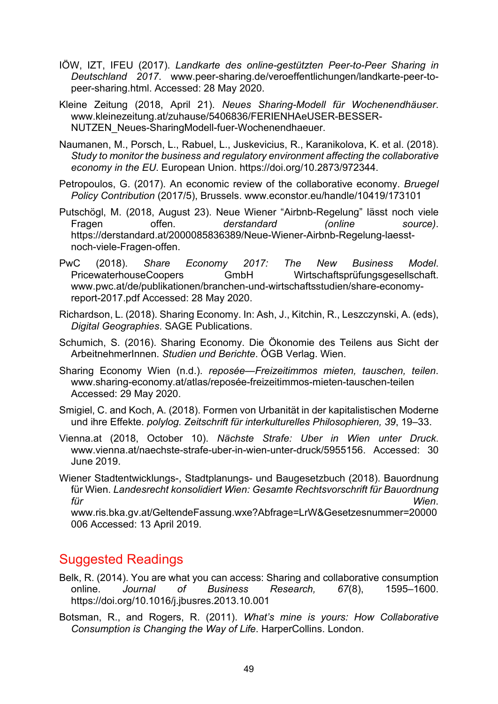- [IÖW, IZT, IFEU](https://www.peer-sharing.de/veroeffentlichungen/landkarte-peer-to-peer-sharing.html) (2017). *Landkarte des online-gestützten Peer-to-Peer Sharing in Deutschland 2017*. [www.peer-sharing.de/veroeffentlichungen/landkarte-peer-to](https://www.peer-sharing.de/veroeffentlichungen/landkarte-peer-to-peer-sharing.html)[peer-sharing.html.](https://www.peer-sharing.de/veroeffentlichungen/landkarte-peer-to-peer-sharing.html) Accessed: 28 May 2020.
- Kleine Zeitung (2018, April 21). *Neues Sharing-Modell für Wochenendhäuser*. [www.kleinezeitung.at/zuhause/5406836/FERIENHAeUSER-BESSER-](https://www.kleinezeitung.at/zuhause/5406836/FERIENHAeUSER-BESSER-NUTZEN_Neues-SharingModell-fuer-Wochenendhaeuer)[NUTZEN\\_Neues-SharingModell-fuer-Wochenendhaeuer.](https://www.kleinezeitung.at/zuhause/5406836/FERIENHAeUSER-BESSER-NUTZEN_Neues-SharingModell-fuer-Wochenendhaeuer)
- Naumanen, M., Porsch, L., Rabuel, L., Juskevicius, R., Karanikolova, K. et al. (2018). *Study to monitor the business and regulatory environment affecting the collaborative economy in the EU*. European Union. [https://doi.org/10.2873/972344.](https://doi.org/10.2873/972344)
- Petropoulos, G. (2017). An economic review of the collaborative economy. *Bruegel Policy Contribution* (2017/5), Brussels. [www.econstor.eu/handle/10419/173101](https://www.econstor.eu/handle/10419/173101)
- Putschögl, M. (2018, August 23). Neue Wiener "Airbnb-Regelung" lässt noch viele Fragen offen. *derstandard (online source)*. [https://derstandard.at/2000085836389/Neue-Wiener-](https://derstandard.at/2000085836389/Neue-Wiener-Airbnb-Regelung-laesst-noch-viele-Fragen-offen)Airbnb-Regelung-laesst[noch-viele-Fragen-offen.](https://derstandard.at/2000085836389/Neue-Wiener-Airbnb-Regelung-laesst-noch-viele-Fragen-offen)
- PwC (2018). *Share Economy 2017: The New Business Model*. PricewaterhouseCoopers GmbH Wirtschaftsprüfungsgesellschaft. www.pwc.at/de/publikationen/branchen[-und-wirtschaftsstudien/share-economy](https://www.pwc.at/de/publikationen/branchen-und-wirtschaftsstudien/share-economy-report-2017.pdf)[report-2017.pdf](https://www.pwc.at/de/publikationen/branchen-und-wirtschaftsstudien/share-economy-report-2017.pdf) Accessed: 28 May 2020.
- Richardson, L. (2018). Sharing Economy. In: Ash, J., Kitchin, R., [Leszczynski,](https://www.amazon.de/s/ref=dp_byline_sr_book_3?ie=UTF8&text=Agnieszka+Leszczynski&search-alias=books-de-intl-us&field-author=Agnieszka+Leszczynski&sort=relevancerank) A. (eds), *Digital Geographies*. SAGE Publications.
- Schumich, S. (2016). Sharing Economy. Die Ökonomie des Teilens aus Sicht der ArbeitnehmerInnen. *Studien und Berichte*. ÖGB Verlag. Wien.
- Sharing Economy Wien (n.d.). *reposée—Freizeitimmos mieten, tauschen, teilen*. [www.sharing-economy.at/atlas/reposée-freizeitimmos-mieten-tauschen-teilen](https://www.sharing-economy.at/atlas/reposee-freizeitimmos-mieten-tauschen-teilen) Accessed: 29 May 2020.
- Smigiel, C. and Koch, A. (2018). Formen von Urbanität in der kapitalistischen Moderne und ihre Effekte. *polylog. Zeitschrift für interkulturelles Philosophieren, 39*, 19–33.
- Vienna.at (2018, October 10). *Nächste Strafe: Uber in Wien unter Druck*. [www.vienna.at/naechste-strafe-](https://www.vienna.at/naechste-strafe-uber-in-wien-unter-druck/5955156)uber-in-wien-unter-druck/5955156. Accessed: 30 June 2019.
- Wiener Stadtentwicklungs-, Stadtplanungs- und Baugesetzbuch (2018). Bauordnung für Wien. *Landesrecht konsolidiert Wien: Gesamte Rechtsvorschrift für Bauordnung für Wien*.

[www.ris.bka.gv.at/GeltendeFassung.wxe?Abfrage=LrW&Gesetzesnummer=20000](https://www.ris.bka.gv.at/GeltendeFassung.wxe?Abfrage=LrW&Gesetzesnummer=20000006) [006](https://www.ris.bka.gv.at/GeltendeFassung.wxe?Abfrage=LrW&Gesetzesnummer=20000006) Accessed: 13 April 2019.

### Suggested Readings

- Belk, R. (2014). You are what you can access: Sharing and collaborative consumption online. *Journal of Business Research, 67*(8), 1595–1600[.](https://doi.org/10.1016/j.jbusres.2013.10.001) [https://doi.org/10.1016/j.jbusres.2013.10.](https://doi.org/10.1016/j.jbusres.2013.10.001)001
- Botsman, R., and Rogers, R. (2011). *What's mine is yours: How Collaborative Consumption is Changing the Way of Life*. HarperCollins. London.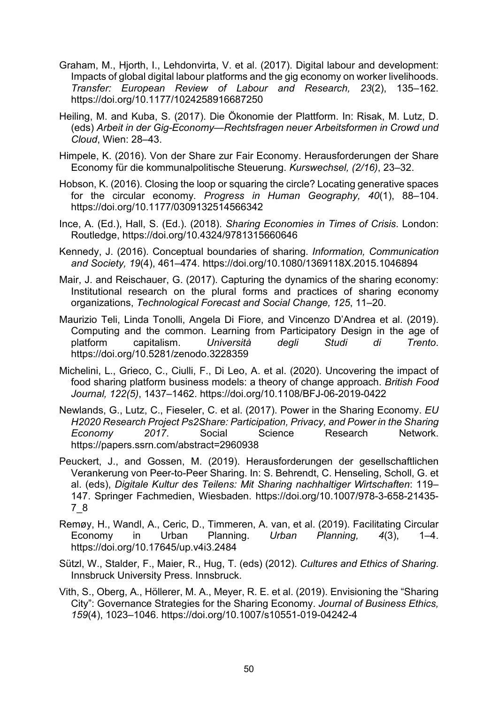- Graham, M., Hjorth, I., Lehdonvirta, V. et al. (2017). Digital labour and development: Impacts of global digital labour platforms and the gig economy on worker livelihoods. *Transfer: European Review of Labour and Research, 23*(2), 135–162[.](https://doi.org/10.1177/1024258916687250) <https://doi.org/10.1177/1024258916687250>
- Heiling, M. and Kuba, S. (2017). Die Ökonomie der Plattform. In: Risak, M. Lutz, D. (eds) *Arbeit in der Gig-Economy—Rechtsfragen neuer Arbeitsformen in Crowd und Cloud*, Wien: 28–43.
- Himpele, K. (2016). Von der Share zur Fair Economy. Herausforderungen der Share Economy für die kommunalpolitische Steuerung. *Kurswechsel, (2/16)*, 23–32.
- Hobson, K. (2016). Closing the loop or squaring the circle? Locating generative spaces for the circular economy. *Progress in Human Geography, 40*(1), 88–104[.](https://doi.org/10.1177/0309132514566342) <https://doi.org/10.1177/0309132514566342>
- Ince, A. (Ed.), Hall, S. (Ed.). (2018). *Sharing Economies in Times of Crisis*. London: Routledge,<https://doi.org/10.4324/9781315660646>
- Kennedy, J. (2016). Conceptual boundaries of sharing. *Information, Communication and Society, 19*(4), 461–474. <https://doi.org/10.1080/1369118X.2015.1046894>
- Mair, J. and Reischauer, G. (2017). Capturing the dynamics of the sharing economy: Institutional research on the plural forms and practices of sharing economy organizations, *Technological Forecast and Social Change, 125*, 11–20.
- Maurizio Teli, Linda Tonolli, Angela Di Fiore, and Vincenzo D'Andrea et al. (2019). Computing and the common. Learning from Participatory Design in the age of platform capitalism. *Università degli Studi di Trento*[.](https://doi.org/10.5281/zenodo.3228359) <https://doi.org/10.5281/zenodo.3228359>
- [Michelini, L.,](https://www.emerald.com/insight/search?q=Laura%20Michelini) [Grieco, C.,](https://www.emerald.com/insight/search?q=Cecilia%20Grieco) [Ciulli, F.,](https://www.emerald.com/insight/search?q=Francesca%20Ciulli) [Di Leo, A.](https://www.emerald.com/insight/search?q=Alessio%20Di%20Leo) et al. (2020). Uncovering the impact of food sharing platform business models: a theory of change approach. *[British Food](https://www.emerald.com/insight/publication/issn/0007-070X)  [Journal,](https://www.emerald.com/insight/publication/issn/0007-070X) 122(5)*, 1437–1462.<https://doi.org/10.1108/BFJ-06-2019-0422>
- Newlands, G., Lutz, C., Fieseler, C. et al. (2017). Power in the Sharing Economy. *EU H2020 Research Project Ps2Share: Participation, Privacy, and Power in the Sharing Economy 2017*. Social Science Research Network[.](https://papers.ssrn.com/abstract=2960938) <https://papers.ssrn.com/abstract=2960938>
- Peuckert, J., and Gossen, M. (2019). Herausforderungen der gesellschaftlichen Verankerung von Peer-to-Peer Sharing. In: S. Behrendt, C. Henseling, Scholl, G. et al. (eds), *Digitale Kultur des Teilens: Mit Sharing nachhaltiger Wirtschaften*: 119– 147. Springer Fachmedien, Wiesbaden. [https://doi.org/10.1007/978-3-658-21435-](https://doi.org/10.1007/978-3-658-21435-7_8) [7\\_8](https://doi.org/10.1007/978-3-658-21435-7_8)
- Remøy, H., Wandl, A., Ceric, D., Timmeren, A. van, et al. (2019). Facilitating Circular Economy in Urban Planning. *Urban Planning, 4*(3), 1–4[.](https://doi.org/10.17645/up.v4i3.2484) <https://doi.org/10.17645/up.v4i3.2484>
- Sützl, W., Stalder, F., Maier, R., Hug, T. (eds) (2012). *Cultures and Ethics of Sharing*. Innsbruck University Press. Innsbruck.
- Vith, S., Oberg, A., Höllerer, M. A., Meyer, R. E. et al. (2019). Envisioning the "Sharing City": Governance Strategies for the Sharing Economy. *Journal of Business Ethics, 159*(4), 1023–1046. <https://doi.org/10.1007/s10551-019-04242-4>